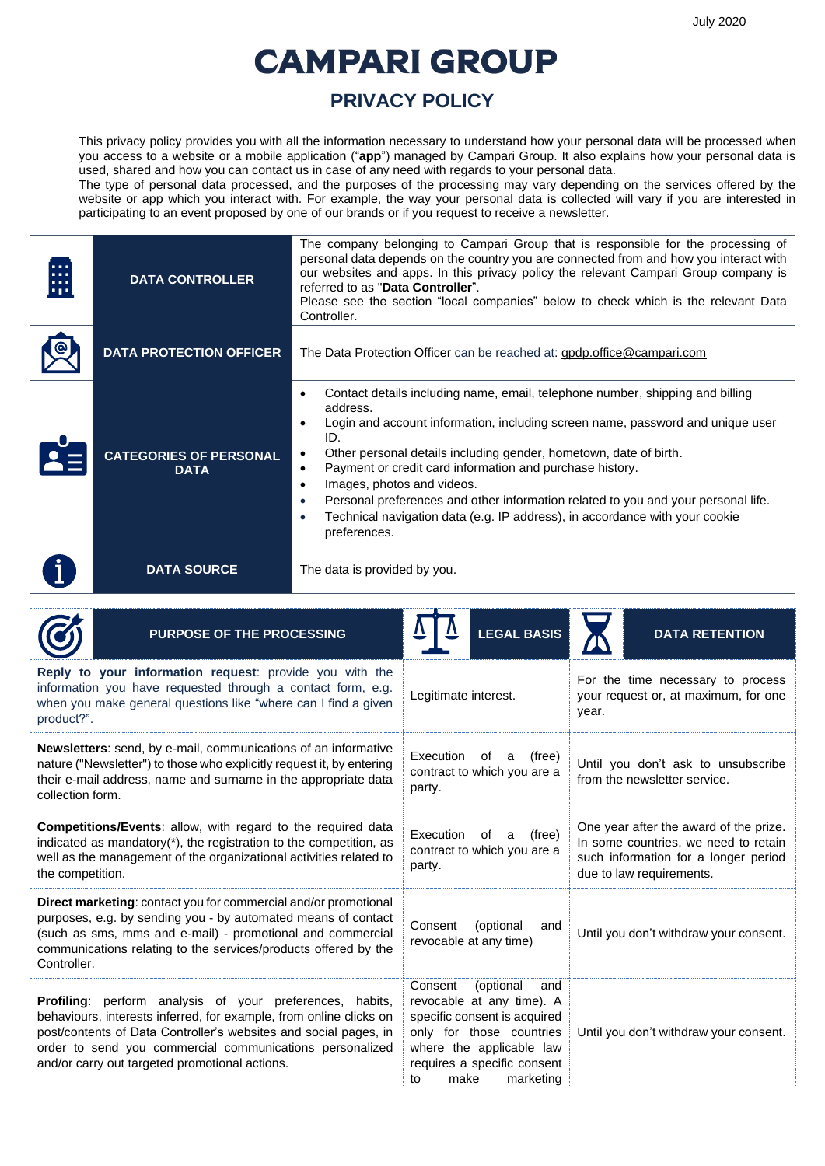## **CAMPARI GROUP**

## **PRIVACY POLICY**

This privacy policy provides you with all the information necessary to understand how your personal data will be processed when you access to a website or a mobile application ("**app**") managed by Campari Group. It also explains how your personal data is used, shared and how you can contact us in case of any need with regards to your personal data.

The type of personal data processed, and the purposes of the processing may vary depending on the services offered by the website or app which you interact with. For example, the way your personal data is collected will vary if you are interested in participating to an event proposed by one of our brands or if you request to receive a newsletter.

| H | <b>DATA CONTROLLER</b>                       | The company belonging to Campari Group that is responsible for the processing of<br>personal data depends on the country you are connected from and how you interact with<br>our websites and apps. In this privacy policy the relevant Campari Group company is<br>referred to as "Data Controller".<br>Please see the section "local companies" below to check which is the relevant Data<br>Controller.                                                                                                                                                                                                               |  |
|---|----------------------------------------------|--------------------------------------------------------------------------------------------------------------------------------------------------------------------------------------------------------------------------------------------------------------------------------------------------------------------------------------------------------------------------------------------------------------------------------------------------------------------------------------------------------------------------------------------------------------------------------------------------------------------------|--|
|   | <b>DATA PROTECTION OFFICER</b>               | The Data Protection Officer can be reached at: gpdp.office@campari.com                                                                                                                                                                                                                                                                                                                                                                                                                                                                                                                                                   |  |
|   | <b>CATEGORIES OF PERSONAL</b><br><b>DATA</b> | Contact details including name, email, telephone number, shipping and billing<br>$\bullet$<br>address.<br>Login and account information, including screen name, password and unique user<br>٠<br>ID.<br>Other personal details including gender, hometown, date of birth.<br>$\bullet$<br>Payment or credit card information and purchase history.<br>$\bullet$<br>Images, photos and videos.<br>$\bullet$<br>Personal preferences and other information related to you and your personal life.<br>$\bullet$<br>Technical navigation data (e.g. IP address), in accordance with your cookie<br>$\bullet$<br>preferences. |  |
|   | <b>DATA SOURCE</b>                           | The data is provided by you.                                                                                                                                                                                                                                                                                                                                                                                                                                                                                                                                                                                             |  |

| PURPOSE OF THE PROCESSING                                                                                                                                                                                                                                                                                               | <b>LEGAL BASIS</b>                                                                                                                                                                                         | <b>DATA RETENTION</b>                                                                                                                              |  |
|-------------------------------------------------------------------------------------------------------------------------------------------------------------------------------------------------------------------------------------------------------------------------------------------------------------------------|------------------------------------------------------------------------------------------------------------------------------------------------------------------------------------------------------------|----------------------------------------------------------------------------------------------------------------------------------------------------|--|
| <b>Reply to your information request:</b> provide you with the<br>information you have requested through a contact form, e.g.<br>when you make general questions like "where can I find a given<br>product?".                                                                                                           | Legitimate interest.                                                                                                                                                                                       | For the time necessary to process<br>your request or, at maximum, for one<br>year.                                                                 |  |
| <b>Newsletters:</b> send, by e-mail, communications of an informative<br>nature ("Newsletter") to those who explicitly request it, by entering<br>their e-mail address, name and surname in the appropriate data<br>collection form.                                                                                    | Execution<br>(free)<br>оf<br>a<br>contract to which you are a<br>party.                                                                                                                                    | Until you don't ask to unsubscribe<br>from the newsletter service.                                                                                 |  |
| Competitions/Events: allow, with regard to the required data<br>indicated as mandatory(*), the registration to the competition, as<br>well as the management of the organizational activities related to<br>the competition.                                                                                            | Execution<br>(free)<br>0f<br>a<br>contract to which you are a<br>party.                                                                                                                                    | One year after the award of the prize.<br>In some countries, we need to retain<br>such information for a longer period<br>due to law requirements. |  |
| <b>Direct marketing:</b> contact you for commercial and/or promotional<br>purposes, e.g. by sending you - by automated means of contact<br>(such as sms, mms and e-mail) - promotional and commercial<br>communications relating to the services/products offered by the<br>Controller.                                 | Consent<br>(optional<br>and<br>revocable at any time)                                                                                                                                                      | Until you don't withdraw your consent.                                                                                                             |  |
| <b>Profiling:</b> perform analysis of your preferences, habits,<br>behaviours, interests inferred, for example, from online clicks on<br>post/contents of Data Controller's websites and social pages, in<br>order to send you commercial communications personalized<br>and/or carry out targeted promotional actions. | Consent<br>(optional<br>and<br>revocable at any time). A<br>specific consent is acquired<br>only for those countries<br>where the applicable law<br>requires a specific consent<br>marketing<br>make<br>to | Until you don't withdraw your consent.                                                                                                             |  |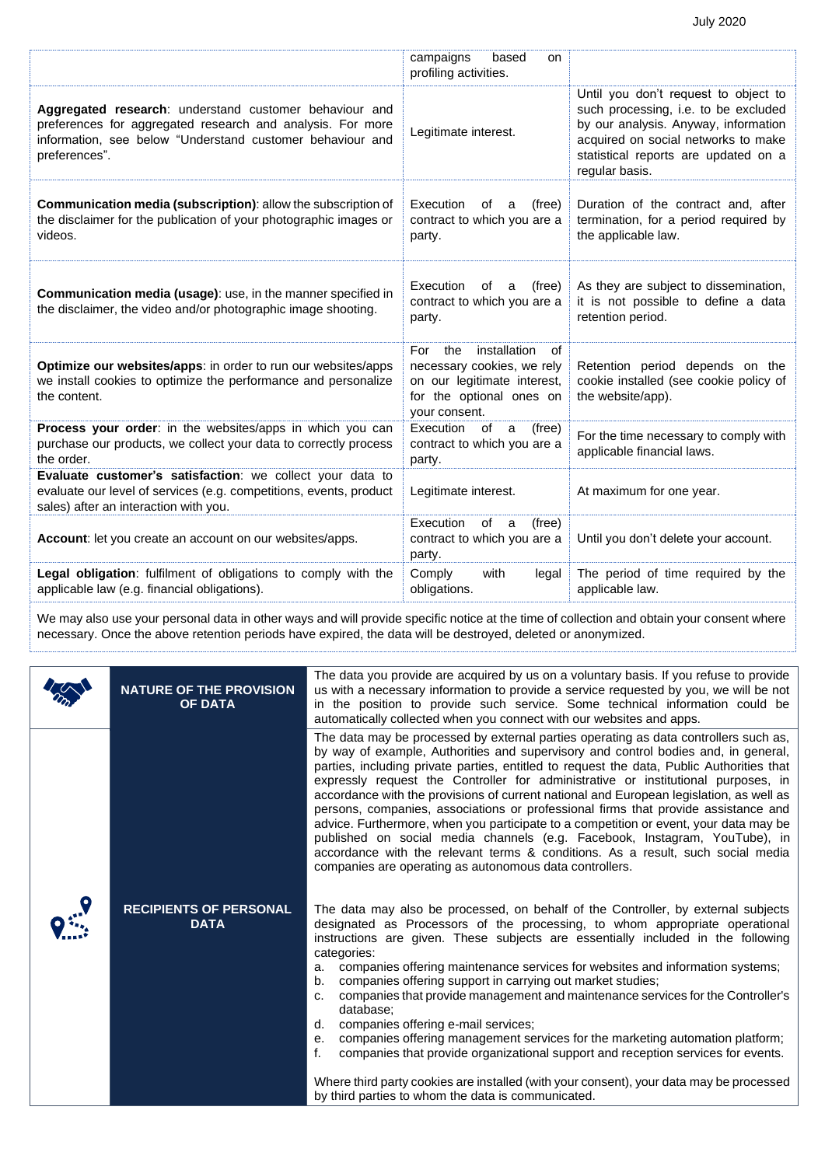|                                                                                                                                                                                                    | campaigns<br>based<br>on<br>profiling activities.                                                                                          |                                                                                                                                                                                                                       |
|----------------------------------------------------------------------------------------------------------------------------------------------------------------------------------------------------|--------------------------------------------------------------------------------------------------------------------------------------------|-----------------------------------------------------------------------------------------------------------------------------------------------------------------------------------------------------------------------|
| Aggregated research: understand customer behaviour and<br>preferences for aggregated research and analysis. For more<br>information, see below "Understand customer behaviour and<br>preferences". | Legitimate interest.                                                                                                                       | Until you don't request to object to<br>such processing, i.e. to be excluded<br>by our analysis. Anyway, information<br>acquired on social networks to make<br>statistical reports are updated on a<br>regular basis. |
| Communication media (subscription): allow the subscription of<br>the disclaimer for the publication of your photographic images or<br>videos.                                                      | Execution<br>of<br>(free)<br>a<br>contract to which you are a<br>party.                                                                    | Duration of the contract and, after<br>termination, for a period required by<br>the applicable law.                                                                                                                   |
| <b>Communication media (usage):</b> use, in the manner specified in<br>the disclaimer, the video and/or photographic image shooting.                                                               | Execution<br>of<br>(free)<br>a<br>contract to which you are a<br>party.                                                                    | As they are subject to dissemination,<br>it is not possible to define a data<br>retention period.                                                                                                                     |
| Optimize our websites/apps: in order to run our websites/apps<br>we install cookies to optimize the performance and personalize<br>the content.                                                    | installation<br>For<br>the<br>of<br>necessary cookies, we rely<br>on our legitimate interest,<br>for the optional ones on<br>your consent. | Retention period depends on the<br>cookie installed (see cookie policy of<br>the website/app).                                                                                                                        |
| Process your order: in the websites/apps in which you can<br>purchase our products, we collect your data to correctly process<br>the order.                                                        | Execution<br>of<br>(free)<br>a<br>contract to which you are a<br>party.                                                                    | For the time necessary to comply with<br>applicable financial laws.                                                                                                                                                   |
| Evaluate customer's satisfaction: we collect your data to<br>evaluate our level of services (e.g. competitions, events, product<br>sales) after an interaction with you.                           | Legitimate interest.                                                                                                                       | At maximum for one year.                                                                                                                                                                                              |
| Account: let you create an account on our websites/apps.                                                                                                                                           | Execution<br>of<br>(free)<br>a<br>contract to which you are a<br>party.                                                                    | Until you don't delete your account.                                                                                                                                                                                  |
| Legal obligation: fulfilment of obligations to comply with the<br>applicable law (e.g. financial obligations).                                                                                     | Comply<br>with<br>legal<br>obligations.                                                                                                    | The period of time required by the<br>applicable law.                                                                                                                                                                 |

We may also use your personal data in other ways and will provide specific notice at the time of collection and obtain your consent where necessary. Once the above retention periods have expired, the data will be destroyed, deleted or anonymized.

| <b>NATURE OF THE PROVISION</b><br><b>OF DATA</b> | The data you provide are acquired by us on a voluntary basis. If you refuse to provide<br>us with a necessary information to provide a service requested by you, we will be not<br>in the position to provide such service. Some technical information could be<br>automatically collected when you connect with our websites and apps.                                                                                                                                                                                                                                                                                                                                                                                                                                                                                                                                                                                                                                                                                                                                                                                                                                                                                                                                                                                                                                                                                                                                                                                                                                                                                                                                                                                             |
|--------------------------------------------------|-------------------------------------------------------------------------------------------------------------------------------------------------------------------------------------------------------------------------------------------------------------------------------------------------------------------------------------------------------------------------------------------------------------------------------------------------------------------------------------------------------------------------------------------------------------------------------------------------------------------------------------------------------------------------------------------------------------------------------------------------------------------------------------------------------------------------------------------------------------------------------------------------------------------------------------------------------------------------------------------------------------------------------------------------------------------------------------------------------------------------------------------------------------------------------------------------------------------------------------------------------------------------------------------------------------------------------------------------------------------------------------------------------------------------------------------------------------------------------------------------------------------------------------------------------------------------------------------------------------------------------------------------------------------------------------------------------------------------------------|
| <b>RECIPIENTS OF PERSONAL</b><br><b>DATA</b>     | The data may be processed by external parties operating as data controllers such as,<br>by way of example, Authorities and supervisory and control bodies and, in general,<br>parties, including private parties, entitled to request the data, Public Authorities that<br>expressly request the Controller for administrative or institutional purposes, in<br>accordance with the provisions of current national and European legislation, as well as<br>persons, companies, associations or professional firms that provide assistance and<br>advice. Furthermore, when you participate to a competition or event, your data may be<br>published on social media channels (e.g. Facebook, Instagram, YouTube), in<br>accordance with the relevant terms & conditions. As a result, such social media<br>companies are operating as autonomous data controllers.<br>The data may also be processed, on behalf of the Controller, by external subjects<br>designated as Processors of the processing, to whom appropriate operational<br>instructions are given. These subjects are essentially included in the following<br>categories:<br>companies offering maintenance services for websites and information systems;<br>a.<br>companies offering support in carrying out market studies;<br>b.<br>companies that provide management and maintenance services for the Controller's<br>C.<br>database:<br>companies offering e-mail services;<br>d.<br>companies offering management services for the marketing automation platform;<br>е.<br>f.<br>companies that provide organizational support and reception services for events.<br>Where third party cookies are installed (with your consent), your data may be processed |
|                                                  | by third parties to whom the data is communicated.                                                                                                                                                                                                                                                                                                                                                                                                                                                                                                                                                                                                                                                                                                                                                                                                                                                                                                                                                                                                                                                                                                                                                                                                                                                                                                                                                                                                                                                                                                                                                                                                                                                                                  |